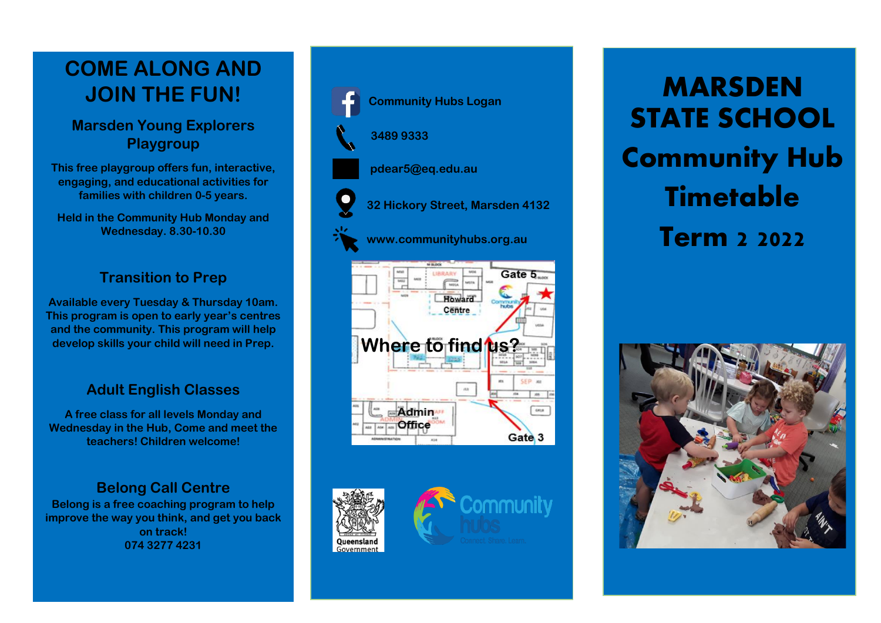# **COME ALONG AND JOIN THE FUN!**

## **Marsden Young Explorers Playgroup**

**This free playgroup offers fun, interactive, engaging, and educational activities for families with children 0-5 years.**

**Held in the Community Hub Monday and Wednesday. 8.30-10.30**

#### **Transition to Prep**

**Available every Tuesday & Thursday 10am. This program is open to early year's centres and the community. This program will help develop skills your child will need in Prep.**

## **Adult English Classes**

**A free class for all levels Monday and Wednesday in the Hub, Come and meet the teachers! Children welcome!**

## **Belong Call Centre**

**Belong is a free coaching program to help improve the way you think, and get you back on track! 074 3277 4231**







**MARSDEN STATE SCHOOL Community Hub Timetable Term 2 2022**